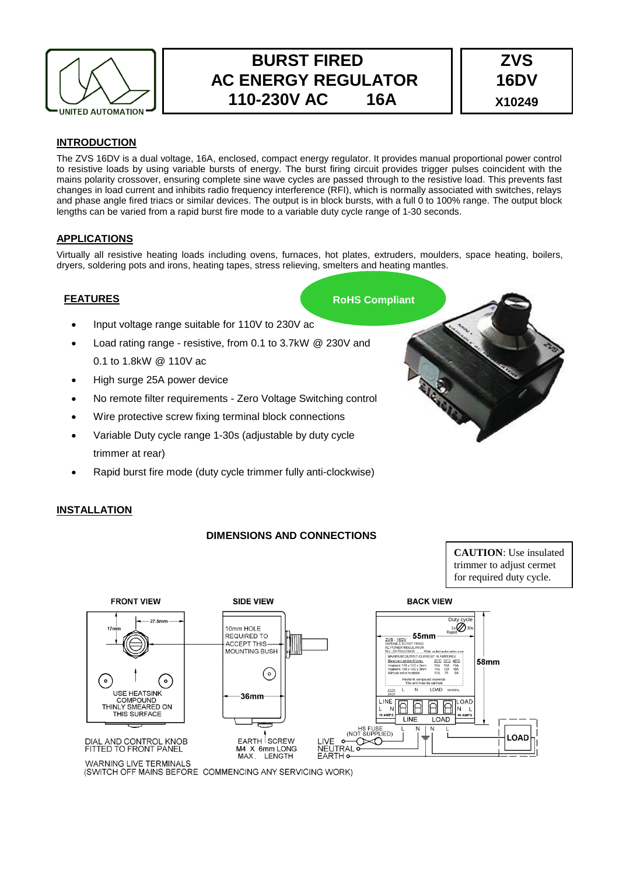

# **BURST FIRED AC ENERGY REGULATOR 110-230V AC 16A**



## **INTRODUCTION**

The ZVS 16DV is a dual voltage, 16A, enclosed, compact energy regulator. It provides manual proportional power control to resistive loads by using variable bursts of energy. The burst firing circuit provides trigger pulses coincident with the mains polarity crossover, ensuring complete sine wave cycles are passed through to the resistive load. This prevents fast changes in load current and inhibits radio frequency interference (RFI), which is normally associated with switches, relays and phase angle fired triacs or similar devices. The output is in block bursts, with a full 0 to 100% range. The output block lengths can be varied from a rapid burst fire mode to a variable duty cycle range of 1-30 seconds.

### **APPLICATIONS**

Virtually all resistive heating loads including ovens, furnaces, hot plates, extruders, moulders, space heating, boilers, dryers, soldering pots and irons, heating tapes, stress relieving, smelters and heating mantles.

### **FEATURES**

- Input voltage range suitable for 110V to 230V ac
- Load rating range resistive, from 0.1 to 3.7kW @ 230V and 0.1 to 1.8kW @ 110V ac
- High surge 25A power device
- No remote filter requirements Zero Voltage Switching control
- Wire protective screw fixing terminal block connections
- Variable Duty cycle range 1-30s (adjustable by duty cycle trimmer at rear)
- Rapid burst fire mode (duty cycle trimmer fully anti-clockwise)

# **RoHS Compliant**

### **INSTALLATION**

# **DIMENSIONS AND CONNECTIONS**

**CAUTION**: Use insulated trimmer to adjust cermet for required duty cycle.



(SWITCH OFF MAINS BEFORE COMMENCING ANY SERVICING WORK)